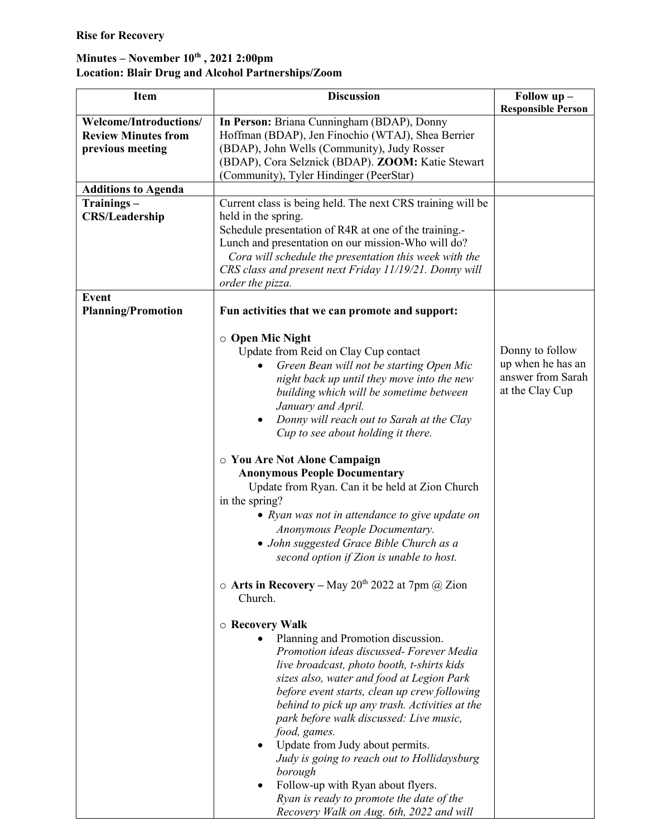## Minutes – November  $10^{th}$ , 2021 2:00pm Location: Blair Drug and Alcohol Partnerships/Zoom

| <b>Item</b>                | <b>Discussion</b>                                                                                | Follow up -               |
|----------------------------|--------------------------------------------------------------------------------------------------|---------------------------|
|                            |                                                                                                  | <b>Responsible Person</b> |
| Welcome/Introductions/     | In Person: Briana Cunningham (BDAP), Donny                                                       |                           |
| <b>Review Minutes from</b> | Hoffman (BDAP), Jen Finochio (WTAJ), Shea Berrier                                                |                           |
| previous meeting           | (BDAP), John Wells (Community), Judy Rosser<br>(BDAP), Cora Selznick (BDAP). ZOOM: Katie Stewart |                           |
|                            | (Community), Tyler Hindinger (PeerStar)                                                          |                           |
| <b>Additions to Agenda</b> |                                                                                                  |                           |
| Trainings-                 | Current class is being held. The next CRS training will be                                       |                           |
| <b>CRS/Leadership</b>      | held in the spring.                                                                              |                           |
|                            | Schedule presentation of R4R at one of the training.-                                            |                           |
|                            | Lunch and presentation on our mission-Who will do?                                               |                           |
|                            | Cora will schedule the presentation this week with the                                           |                           |
|                            | CRS class and present next Friday 11/19/21. Donny will                                           |                           |
| <b>Event</b>               | order the pizza.                                                                                 |                           |
| <b>Planning/Promotion</b>  | Fun activities that we can promote and support:                                                  |                           |
|                            |                                                                                                  |                           |
|                            | ○ Open Mic Night<br>Update from Reid on Clay Cup contact                                         | Donny to follow           |
|                            | Green Bean will not be starting Open Mic                                                         | up when he has an         |
|                            | night back up until they move into the new                                                       | answer from Sarah         |
|                            | building which will be sometime between                                                          | at the Clay Cup           |
|                            | January and April.                                                                               |                           |
|                            | Donny will reach out to Sarah at the Clay<br>٠                                                   |                           |
|                            | Cup to see about holding it there.                                                               |                           |
|                            | ○ You Are Not Alone Campaign                                                                     |                           |
|                            | <b>Anonymous People Documentary</b>                                                              |                           |
|                            | Update from Ryan. Can it be held at Zion Church                                                  |                           |
|                            | in the spring?                                                                                   |                           |
|                            | • Ryan was not in attendance to give update on                                                   |                           |
|                            | Anonymous People Documentary.                                                                    |                           |
|                            | • John suggested Grace Bible Church as a                                                         |                           |
|                            | second option if Zion is unable to host.                                                         |                           |
|                            | o Arts in Recovery - May 20 <sup>th</sup> 2022 at 7pm @ Zion<br>Church.                          |                           |
|                            |                                                                                                  |                           |
|                            | ○ Recovery Walk                                                                                  |                           |
|                            | Planning and Promotion discussion.<br>Promotion ideas discussed- Forever Media                   |                           |
|                            | live broadcast, photo booth, t-shirts kids                                                       |                           |
|                            | sizes also, water and food at Legion Park                                                        |                           |
|                            | before event starts, clean up crew following                                                     |                           |
|                            | behind to pick up any trash. Activities at the                                                   |                           |
|                            | park before walk discussed: Live music,                                                          |                           |
|                            | food, games.                                                                                     |                           |
|                            | Update from Judy about permits.<br>$\bullet$                                                     |                           |
|                            | Judy is going to reach out to Hollidaysburg                                                      |                           |
|                            | borough                                                                                          |                           |
|                            | Follow-up with Ryan about flyers.<br>$\bullet$<br>Ryan is ready to promote the date of the       |                           |
|                            | Recovery Walk on Aug. 6th, 2022 and will                                                         |                           |